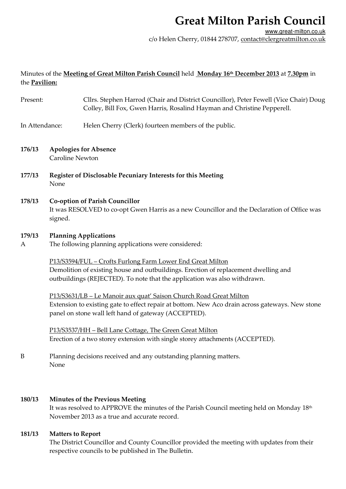## **Great Milton Parish Council**

## Minutes of the **Meeting of Great Milton Parish Council** held **Monday 16th December 2013** at **7.30pm** in the **Pavilion:**

| Present:       |                                                                                                                                                 | Cllrs. Stephen Harrod (Chair and District Councillor), Peter Fewell (Vice Chair) Doug<br>Colley, Bill Fox, Gwen Harris, Rosalind Hayman and Christine Pepperell.                                                               |
|----------------|-------------------------------------------------------------------------------------------------------------------------------------------------|--------------------------------------------------------------------------------------------------------------------------------------------------------------------------------------------------------------------------------|
| In Attendance: |                                                                                                                                                 | Helen Cherry (Clerk) fourteen members of the public.                                                                                                                                                                           |
| 176/13         | <b>Apologies for Absence</b><br><b>Caroline Newton</b>                                                                                          |                                                                                                                                                                                                                                |
| 177/13         | <b>Register of Disclosable Pecuniary Interests for this Meeting</b><br>None                                                                     |                                                                                                                                                                                                                                |
| 178/13         | <b>Co-option of Parish Councillor</b><br>It was RESOLVED to co-opt Gwen Harris as a new Councillor and the Declaration of Office was<br>signed. |                                                                                                                                                                                                                                |
| 179/13<br>A    | <b>Planning Applications</b><br>The following planning applications were considered:                                                            |                                                                                                                                                                                                                                |
|                |                                                                                                                                                 | P13/S3594/FUL - Crofts Furlong Farm Lower End Great Milton<br>Demolition of existing house and outbuildings. Erection of replacement dwelling and<br>outbuildings (REJECTED). To note that the application was also withdrawn. |
|                |                                                                                                                                                 | P13/S3631/LB - Le Manoir aux quat' Saison Church Road Great Milton<br>Extension to existing gate to effect repair at bottom. New Aco drain across gateways. New stone<br>panel on stone wall left hand of gateway (ACCEPTED).  |
|                |                                                                                                                                                 | P13/S3537/HH - Bell Lane Cottage, The Green Great Milton<br>Erection of a two storey extension with single storey attachments (ACCEPTED).                                                                                      |
| B              | None                                                                                                                                            | Planning decisions received and any outstanding planning matters.                                                                                                                                                              |
| 180/13         |                                                                                                                                                 | <b>Minutes of the Previous Meeting</b><br>It was resolved to APPROVE the minutes of the Parish Council meeting held on Monday 18th<br>November 2013 as a true and accurate record.                                             |

### **181/13 Matters to Report**

The District Councillor and County Councillor provided the meeting with updates from their respective councils to be published in The Bulletin.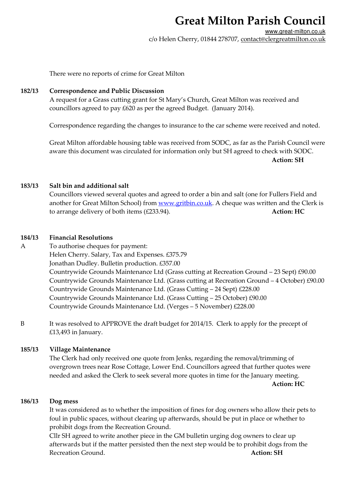## **Great Milton Parish Council**

www.great-milton.co.uk c/o Helen Cherry, 01844 278707, contact@clergreatmilton.co.uk

There were no reports of crime for Great Milton

### **182/13 Correspondence and Public Discussion**

A request for a Grass cutting grant for St Mary's Church, Great Milton was received and councillors agreed to pay £620 as per the agreed Budget. (January 2014).

Correspondence regarding the changes to insurance to the car scheme were received and noted.

Great Milton affordable housing table was received from SODC, as far as the Parish Council were aware this document was circulated for information only but SH agreed to check with SODC. **Action: SH**

## **183/13 Salt bin and additional salt**

Councillors viewed several quotes and agreed to order a bin and salt (one for Fullers Field and another for Great Milton School) from www.gritbin.co.uk. A cheque was written and the Clerk is to arrange delivery of both items (£233.94). **Action: HC**

### **184/13 Financial Resolutions**

A To authorise cheques for payment: Helen Cherry. Salary, Tax and Expenses. £375.79 Jonathan Dudley. Bulletin production. £357.00 Countrywide Grounds Maintenance Ltd (Grass cutting at Recreation Ground – 23 Sept) £90.00 Countrywide Grounds Maintenance Ltd. (Grass cutting at Recreation Ground – 4 October) £90.00 Countrywide Grounds Maintenance Ltd. (Grass Cutting – 24 Sept) £228.00 Countrywide Grounds Maintenance Ltd. (Grass Cutting – 25 October) £90.00 Countrywide Grounds Maintenance Ltd. (Verges – 5 November) £228.00

B It was resolved to APPROVE the draft budget for 2014/15. Clerk to apply for the precept of £13,493 in January.

## **185/13 Village Maintenance**

The Clerk had only received one quote from Jenks, regarding the removal/trimming of overgrown trees near Rose Cottage, Lower End. Councillors agreed that further quotes were needed and asked the Clerk to seek several more quotes in time for the January meeting.  **Action: HC** 

### **186/13 Dog mess**

It was considered as to whether the imposition of fines for dog owners who allow their pets to foul in public spaces, without clearing up afterwards, should be put in place or whether to prohibit dogs from the Recreation Ground.

Cllr SH agreed to write another piece in the GM bulletin urging dog owners to clear up afterwards but if the matter persisted then the next step would be to prohibit dogs from the Recreation Ground. **Action: SH**